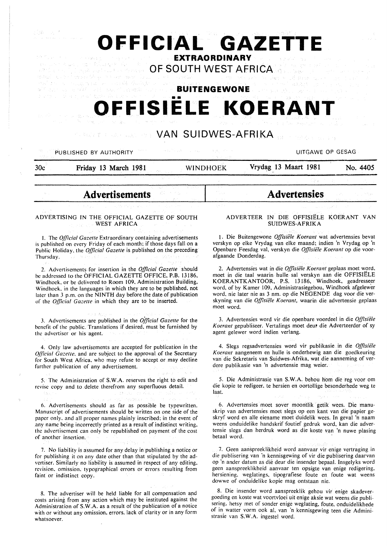# **OFFICIAL GAZETT EXTRAORDINARY**

**OF SOUTH WEST AFRICA** 

**BUITENGEWONE** 

# •• **OFFISIELE KOERANT**

**VAN SUIDWES-AFRIKA** 

# PUBLISHED BY AUTHORITY WITH A RESIDENCE AND MUSLIM CONTROLLING OF GESAG **30c Friday 13 March 1981 WINDHOEK Vrydag 13 Maart 1981 No. 4405**

**Advertisements** 

#### ADVERTISING IN THE OFFICIAL GAZETTE OF SOUTH **WEST AFRICA**

l. The *Official Gazette* Extraordinary containing advertisements is published on every Friday of each month; if those days fall on a Public Holiday. the *Official Gazette* is.published on the preceding Thursday.

2. Advertisements for insertion in the *Official Gazette* should be addressed to the OFFICIAL GAZETTE OFFICE, P.B. 13186, Windhoek, or be delivered to Room 109, Administration Building, Windhoek. in the languages in which they are to be published, not later than 3 p.m. on the NINTH day before. the date of publication of the *Official Gazette* in which they are to be inserted.

3. Advertisements are published in the *Offtcial Gazette* for the benefit of the public. Translations if desired, must be furnished by the advertiser or his agent.

4. Only law advertisements are accepted for publication in the *Official Gazelle.* and are subject to the approval of the Secretary for South West Africa. who may refuse to accept.or may decline further publication of any advertisement.

5. The Administration of S.W.A. reserves the right to edit and revise copy and to delete therefrom any superfluous detail.

6. Advertisements should as far as possible be typewritten. Manuscript of advertisements should be written on one side of the paper only. and all proper names plainly inscribed: in the event of any name being incorrectly printed as a result of indistinct writing. the advertisement can only be republished on payment of the cost of another insertion.

7. No liability is assumed for any delay in publishing a notice or for publishing it on any date other than that stipulated by the advertiser. Similarly no liability is assumed in respect of any editing. revision. omission. typographical errors or errors resulting from faint or indistinct copy.

8. The advertiser will be held liable for all compensation and costs arising from any action which may be instituted against the Administration of S. W .A. as a result of the publication of a notice with or without any omission. errors. lack of clarity or in any form whatsoever.

# ADVERTEER IN DIE OFFISIELE KOERANT VAN SUIDWES-AFRIKA

**Advertensies** 

**1.** Die Buitengewone *Offisiele Koerant* wat advertensies bevat verskyn op elke Vrydag van elke maand; indien 'n Vrydag op 'n Openbare Feesdag val, verskyn die *Offisiele Koerant* op die voorafgaande Donderdag.

2. Advertensies wat in die *Offisiele Koerant* geplaas moet word. moet in die taal waarin hulle sal verskyn aan die OFFISIELE KOERANTKANTOOR, P.S. 13186, Windhoek, geadresseer word, of by Kamer 109, Administrasiegebou, Windhoek afgelewer word, nie later nie as 3 nm. op die NEGENDE dag voor die verskyning van die *Offisiële Koerant*, waarin die advertensie geplaas moet word.

3. Advertensies word vir die openbare voordeel in die *O.flisiele*  Koerant gepubliseer. Vertalings moet deut die Adverteerder of sy agent gelewer word indien verlang.

4. Slegs regsadvertensies word vir publikasie in die *Offisiete Koerant* aangeneem en hulle is onderhewig aan die goedkeuring van die Sekretaris van Suidwes-Afrika. wat die aanneming of verdere publikasie van 'n advertensie mag weier.

5. Die Administrasie van S.W.A. behou hom die reg voor om die kopie te redigeer, te hersien en oortollige besonderhede weg te Ia at.

6. Advertensies moet sover moontlik getik wees. Die manuskrip van advertensies moet slegs op een kant van die papier geskryf word en aile eiename moet duidelik wees. In geval 'n naam weens onduidelike handskrif foutief gedruk word, kan die advertensie slegs dan herdruk word as die koste van 'n nuwe plasing betaal word.

7. Geen aanspreeklikheid word aanvaar vir enige vertraging in die publisering van 'n kennisgewing of vir die publisering daarvan op 'n ander datum as die deur die insender bepaal. lnsgelyks word geen aanspreeklikheid aanvaar ten opsigte van enige redigering. hersiening. weglatings, tipografiese foute en foute wat weens dowwe of onduidelike kopie mag ontstaan nie.

8. Die insender word aanspreeklik gehou vir enige skadevergoeding en koste wat voortvloei uit enige aksie wat weens die publisering. hetsy met of sonder enige weglating, foute, onduidelikhede of in watter vorm ook al. van 'n kennisgewing teen die Administrasie van S.W.A. ingestel word.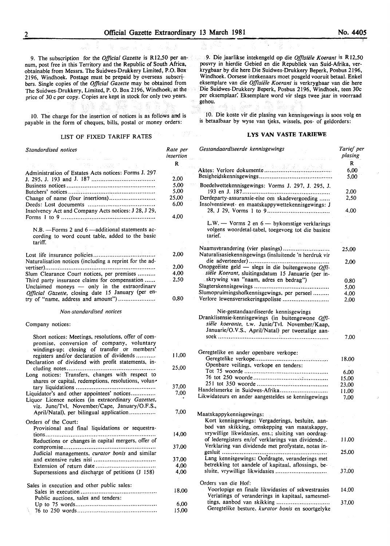9. The subscription for the *Official Gazette* is R12,50 per annum, post free in this Territory and the Republic of South Africa, obtainable from Messrs. The Suidwes-Drukkery Limited, P.O. Box 2196, Windhoek. Postage must be prepaid by overseas subscr! bers. Single copies of the *Official Gazette* may be obtained from The Suidwes-Drukkery, Limited, P. O. Box 2196, Windhoek, at the price of 30 c per copy. Copies are kept in stock for only two years.

10. The charge for the insertion of notices is as follows and is payable in the form of cheques, bills, postal or money orders:

#### LIST OF FIXED TARIFF RATES

| Standardised notices                                                                                                                                | Rate per<br>insertion |
|-----------------------------------------------------------------------------------------------------------------------------------------------------|-----------------------|
|                                                                                                                                                     | R                     |
| Administration of Estates Acts notices: Forms J. 297                                                                                                |                       |
|                                                                                                                                                     | 2,00                  |
|                                                                                                                                                     | 5,00                  |
|                                                                                                                                                     | 5,00                  |
| Change of name (four insertions)                                                                                                                    | 25,00                 |
|                                                                                                                                                     | 6,00                  |
| Insolvency Act and Company Acts notices: J 28, J 29,                                                                                                | 4,00                  |
| $N.B. -$ Forms 2 and 6 —additional statements ac-<br>cording to word count table, added to the basic<br>tariff.                                     |                       |
|                                                                                                                                                     | 2,00                  |
| Naturalisation notices (including a reprint for the ad-                                                                                             |                       |
|                                                                                                                                                     | 2,00                  |
| Slum Clearance Court notices, per premises                                                                                                          | 4,00                  |
| Third party insurance claims for compensation<br>Unclaimed moneys - only in the extraordinary<br>Official Gazette, closing date 15 January (per en- | 2,50                  |
| try of "name, address and amount")                                                                                                                  | 0,80                  |
| Non-standardised notices                                                                                                                            |                       |
| Company notices:                                                                                                                                    |                       |
| Short notices: Meetings, resolutions, offer of com-<br>promise, conversion of company, voluntary<br>windings-up; closing of transfer or members'    |                       |
| registers and/or declaration of dividends<br>Declaration of dividend with profit statements, in-                                                    | 11,00                 |
| Long notices: Transfers, changes with respect to                                                                                                    | 25,00                 |
| shares or capital, redemptions, resolutions, volun-<br>tary liquidations<br>.                                                                       | 37,00                 |
| Liquidator's and other appointees' notices<br>Liquor Licence notices (in extraordinary Gazettes,<br>viz. June/Tvl, November/Cape, January/O.F.S.,   | 7,00                  |
| April/Natal), per bilingual application                                                                                                             | 7,00                  |
| Orders of the Court:                                                                                                                                |                       |
| Provisional and final liquidations or sequestra-                                                                                                    |                       |
|                                                                                                                                                     | 14,00                 |
| Reductions or changes in capital mergers, offer of                                                                                                  |                       |
|                                                                                                                                                     | 37.00                 |
| Judicial managements, curator bonis and similar                                                                                                     | 37,00                 |
|                                                                                                                                                     | 4,00                  |
| Supersessions and discharge of petitions (J 158)                                                                                                    | 4,00                  |
|                                                                                                                                                     |                       |
| Sales in execution and other public sales:                                                                                                          |                       |
| Public auctions, sales and tenders:                                                                                                                 | 18,00                 |
|                                                                                                                                                     | 6,00                  |
|                                                                                                                                                     | 15,00                 |

9. Die jaarlikse intekengeld op die *Offisiiile Koerant* is R 12,50 posvry in hierdie Gebied en die Republiek van Suid-Afrika, verkrygbaar by die here Die Suidwes-Drukkery Beperk, Posbus 2196, Windhoek. Oorsese intekenaars moet posgeld vooruit betaal. Enkel eksemplare van die *Offisiele Koerant* is verkrygbaar van die here Die Suidwes-Drukkery Beperk, Posbus 2196, Windhoek, teen 30c per eksemplaar: Eksemplare word vir slegs twee jaar in voorraad gehou.

10. Die koste vir die plasing van kennisgewings is soos volg en is betaalbaar by wyse van tjeks, wissels, pos- of geldorders:

#### **LYS VAN VASTE TARIEWE**

| Gestandaardiseerde kennisgewings                                                                                | Tarief per<br>plasing |
|-----------------------------------------------------------------------------------------------------------------|-----------------------|
|                                                                                                                 | R                     |
|                                                                                                                 | 6,00                  |
|                                                                                                                 | 5,00                  |
| Boedelwettekennisgewings: Vorms J. 297, J. 295, J.                                                              |                       |
|                                                                                                                 | 2,00                  |
| Derdeparty-assuransie-eise om skadevergoeding<br>Insolvensiewet- en maatskappywettekennisgewings: J             | 2,50                  |
|                                                                                                                 | 4.00                  |
| L.W. — Vorms 2 en $6$ — bykomstige verklarings<br>volgens woordetal-tabel, toegevoeg tot die basiese<br>tarief. |                       |
| Naamsverandering (vier plasings)                                                                                |                       |
| Naturalisasiekennisgewings (insluitende 'n herdruk vir                                                          | 25,00                 |
|                                                                                                                 | 2,00                  |
| Onopgeëiste geld — slegs in die buitengewone $Qffi$ -                                                           |                       |
| siële Koerant, sluitingsdatum 15 Januarie (per in-                                                              |                       |
| skrywing van "naam, adres en bedrag")                                                                           | 0.80                  |
|                                                                                                                 | 5,00                  |
| Slumopruimingshofkennisgewings, per perseel                                                                     | 4,00                  |
| Verlore lewensversekeringspolisse                                                                               | 2,00                  |
| siële koerante, t.w. Junie/Tvl. November/Kaap,<br>Januarie/O.V.S., April/Natal) per tweetalige aan-             | 7,00                  |
|                                                                                                                 |                       |
| Geregtelike en ander openbare verkope:                                                                          |                       |
|                                                                                                                 | 18,00                 |
| Openbare veilings, verkope en tenders:                                                                          |                       |
|                                                                                                                 | 6,00                  |
|                                                                                                                 | 15,00                 |
| Handelsmerke in Suidwes-Afrika                                                                                  | 23,00                 |
|                                                                                                                 | 11,00                 |
| Likwidateurs en ander aangesteldes se kennisgewings                                                             | 7,00                  |
| Maatskappykennisgewings:                                                                                        |                       |
| Kort kennisgewings: Vergaderings, besluite, aan-                                                                |                       |
| bod van skikking, omskepping van maatskappy,                                                                    |                       |
| vrywillige likwidasies, ens.; sluiting van oordrag-                                                             |                       |
|                                                                                                                 |                       |
| of lederegisters en/of verklarings van dividende<br>Verklaring van dividende met profystate, notas in-          | 11,00                 |
|                                                                                                                 | 25,00                 |
| Lang kennisgewings: Oordragte, veranderings met                                                                 |                       |
| betrekking tot aandele of kapitaal, aflossings, be-                                                             |                       |
| sluite, vrywillige likwidasies                                                                                  | 37,00                 |
|                                                                                                                 |                       |
| Orders van die Hof:                                                                                             |                       |
| Voorlopige en finale likwidasies of sekwestrasies                                                               | 14.00                 |
| Verlatings of veranderings in kapitaal, samesmel-                                                               |                       |
| tings, aanbod van skikking                                                                                      | 37,00                 |
| Geregtelike besture. kurator bonis en soortgelyke                                                               |                       |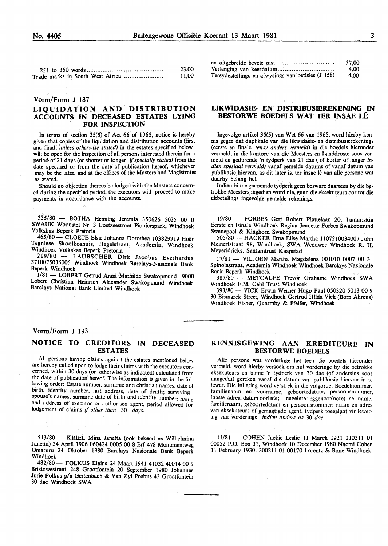|                                  | 23,00 |
|----------------------------------|-------|
| Trade marks in South West Africa | 11.00 |

#### Vorm/Form J 187

# LIQUIDATION AND DISTRIBUTION ACCOUNTS IN DECEASED ESTATES LYING FOR INSPECTION

In terms of section 35(5) of Act 66 of 1965, notice is hereby given that copies of the liquidation and distribution accounts (first and fmal, *'unless otherwise stated)* in the estates specified below will be open for the inspection of all persons interested therein for a period of 21 days (or shorter or longer if *specially stated)* from the date speculed or from the date of publication hereof, whichever may be the later, and at the offices of the Masters and Magistrates as stated.

Should no objection thereto be lodged with the Masters concerned during the specified period, the executors will proceed to make payments in accordance with the accounts.

335/80 - BOTHA Henning Jeremia 350626 5025 00 0 SW AUK Woonstel Nr. 3 Coetzeestraat Pionierspark, Windhoek Volkskas Beperk Pretoria

465/80 - CLOETE Elsie Johanna Dorothea 103829919 Hoer Tegniese Skoolkoshuis, Hegelstraat, Academia, Windhoek Windhoek Volkskas Beperk Pretoria

219/80 - LAUBSCHER Dirk Jacobus Everhardus 3710075036005 Windhoek Windhoek Barclays-Nasionale Bank Beperk Windhoek

1/81- LOBERT Getrud Anna Mathilde Swakopmund 9000 Lobert Christian Heinrich Alexander Swakopmund Windhoek Barclays National Bank Limited Windhoek

|                                                    | 37.00 |
|----------------------------------------------------|-------|
|                                                    | 4.00  |
| Tersydestellings en afwysings van petisies (J 158) | 4.00  |

## LIKWIDASIE- EN DISTRIBUSIEREKENING IN BESTORWE BOEDELS WAT TER INSAE LE

Ingevolge artikel 35(5) van Wet 66 van 1965, word hierby kennis gegee dat duplikate van die likwidasie- en distribusierekenings (eerste en finale, *tensy anders vermeld)* in die boedels hieronder vermeld, in die kantore van die Meesters en Landdroste soos vermeld en gedurende 'n tydperk van 21 dae (of korter of Ianger *indien spesiaal vermeld)* vanaf gemelde datums of vanaf datum van publikasie hiervan, as dit later is, ter insae lê van alle persone wat daarby belang het.

lndien binne genoemde tydperk geen besware daarteen by die betrokke Meesters ingedien word nie, gaan die eksekuteurs oor tot die uitbetalings ingevolge gemelde rekenings.

19/80 - FORBES Gert Robert Plattelaan 20, Tamariskia Eerste en Finale Windhoek Regina Jeanette Forbes Swakopmund Swanepoel & Kinghorn Swakopmund

505/80- HACKER Erna Elise Martha 1107210034007 John Meinertstraat 98, Windhoek, SW A Weduwee Windhoek R. H. Meyeridricks, Santamtrust Kaapstad

17/81 - VILJOEN Martha Magdalena 001010 0007 00 3 Spinolastraat, Academia Windhoek Windhoek Barclays Nasionale Bank Beperk Windhoek

387/80 - METCALFE Trevor Grahame Windhoek SWA Windhoek F.M. Oehl Trust Windhoek

393/80- VICK Erwin Werner Hugo Paul 050320 5013 00 9 30 Bismarck Street, Windhoek Gertrud Hilda Vick (Born Ahrens) Windhoek Fisher, Quarmby & Pfeifer, Windhoek

#### Vorm/Form J 193

# NOTICE TO CREDITORS IN DECEASED ESTATES

All persons having claims against the estates mentioned below are hereby called upon to lodge their claims with the executors concerned, within 30 days (or otherwise as indicated) calculated from the date of publication hereof. The information is given in the following order: Estate number, surname and christian names, date of birth, identity number, last address, date of death; surviving spouse's names, surname date of birth and identity number; name and address of executor or authorised agent, period allowed for lodgement of claims if *other than* 30 *days.* 

513/80- KRIEL Mina Janetta (ook bekend as Wilhelmina Janetta) 24 April 1906 060424 0005 00 8 Erf 478 Monumentweg Omaruru 24 Oktober 1980 Barclays Nasionale Bank Beperk Windhoek

482/80- FOLKUS Elaine 24 Maart 1941 41032 40014 00 9 Bristowestraat 248 Grootfontein 20 September 1980 Johannes Jurie Folkus p/a Gertenbach & Van Zyl Posbus 43 Grootfontein 30 dae Windhoek SWA

## KENNISGEWING AAN KREDITEURE IN BESTORWE BOEDELS

Alle persone wat vorderinge het teen die boedels hieronder vermeld, word hierby versoek om hul vorderinge by die betrokke eksekuteurs en binne 'n tydperk van 30 dae (of andersins soos aangedui) gereken vanaf die datum van publikasie hiervan in te !ewer. Die inligting word verstrek in die volgorde: Boedelnommer, familienaam en voorname, geboortedatum, persoonsnommer, laaste adres, datum oorlede; nagelate eggenoot(note} se name, familienaam, geboortedatum en persoonsnommer; naam en adres van eksekuteurs of gemagtigde agent, tydperk toegelaat vir lewering van vorderings *indien anders as* 30 *dae.* 

11/81- COHEN Jackie Leslie 11 March 1921 210311 01 00052 P.O. Box 31, Windhoek lO December 1980 Naomi Cohen 11 February 1930: 300211 01 00170 Lorentz & Bone Windhoek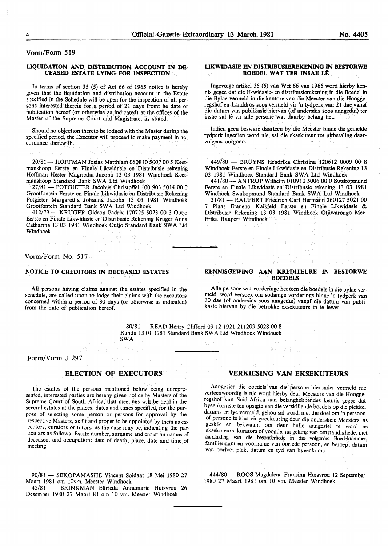Vorm/Form 519

#### LIQUIDATION AND DISTRIBUTION ACCOUNT IN DE-CEASED ESTATE LYING FOR INSPECTION

In terms of section 35 (5) of Act 66 of 1965 notice is hereby given that the liquidation and distribution account in the Estate specified in the Schedule will be open for the inspection of all persons interested therein for a period of 21 days fromt he date of publication hereof (or otherwise as indicated) at the offices of the Master of the Supreme Court and Magistrate, as stated.

Should no objection thereto be lodged with the Master during the specified period, the Executor will proceed to make payment in accordance therewith.

**Carl Ave** 

 $\sim$  2.5  $\%$ 

20/81 - HOFFMAN Josias Matthiam 080810 5007 00 5 Keetmanshoop Eerste en Finale Likwidasie en Distribusie rekening Hoffman Hester Magrietha Jacoba 13 03 1981 Windhoek Keetmanshoop Standard Bank SWA Ltd Windhoek

27/81- POTGIETER Jacobus Christoffel 100 903 5014 00 0 Grootfontein Eerste en Finale Likwidasie en Distribusie Rekening Potgieter Margaretha Johanna Jacoba 13 03 1981 Windhoek Grootfontein Standard Bank SWA Ltd Windhoek

412/79- KRUGER Gideon Padrix 170725 5023 00 3 Outjo Eerste en Finale Likwidasie en Distribusie Rekening Kruger Anna Catharina 13 03 1981 Windhoek Outjo Standard Bank SWA Ltd Windhoek

#### Vorm/Form No. 517

#### NOTICE TO CREDITORS IN DECEASED ESTATES

All persons having claims against the estates specified in the schedule, are called upon to lodge their claims with the executors concerned within a period of 30 days (or otherwise as indicated) from the date of publication hereof.

#### LIKWIDASIE EN DISTRIBUSIEREKENING IN BESTORWE BOEDEL WAT TER INSAE LE

lngevolge artikel 35 (5) van Wet 66 van 1965 word hierby kennis gegee dat die likwidasie- en distribusierekening in die Boedel in die Bylae vermeld in die kantore van die Meester van die Hooggeregshof en Landdros soos vermeld vir 'n tydperk van 21 dae vanaf die datum van publikasie hiervan (of andersins soos aangedui) ter insae sal le vir aile persone wat daarby belang het.

Indien geen besware daarteen by die Meester binne die gemelde tydperk ingedien word nie, sal die eksekuteur tot uitbetaling daarvolgens oorgaan.

449/80- BRUYNS Hendrika Christina 120612 0009 00 8 Windhoek Eerste en Finale Likwidasie en Distribusie Rekening 13 03 1981 Windhoek Standard Bank SWA Ltd Windhoek

441/80- ANTROP Wilhelm 010910 5006 00 0 Swakopmund Eerste en Finale Likwidasie en Distribusie rekening 13 03 1981 Windhoek Swakopmund Standard Bank SWA Ltd Windhoek

31/81- RAUPERT Friedrich Carl Hermann 260127 5021 00 7 Plaas Etaneno Kalkfeld Eerste en Finale Likwidasie & Distribusie Rekening 13 03 1981 Windhoek Otjiwarongo Mev. Erika Raupert Windhoek

#### KENNISGEWING AAN KREDITEURE IN BESTORWE **BOEDELS**

Aile persone wat vorderinge het teen die boedels in die bylae vermeld, word versoek om sodanige vorderings binne 'n tydperk van 30 dae (of andersins soos aangedui) vanaf die datum van publikasie hiervan by die betrokke eksekuteurs in te lewer.

80/81- READ Henry Clifford 09 12 1921 211209 5028 00 8 Rundu 13 01 1981 Standard Bank SWA Ltd Windhoek Windhoek SWA

## Form/Vorm J 297

# ELECTION OF EXECUTORS

The estates of the persons mentioned below being unrepresented, interested parties are hereby given notice by Masters of the Supreme Court of South Africa, that meetings will be held in the several estates at the places, dates and times specified, for the purpose of selecting some person or persons for approval by the respective Masters, as fit and proper to be appointed by them as executors, curators or tutors, as the case may be, indicating the par· ticulars as follows: Estate number, surname and christian names of deceased, and occupation; date of death; place, date and time of meeting. The contract of the contract of the contract of the contract of the contract of the contract of the contract of the contract of the contract of the contract of the contract of the contract of the contract of the c

90/81 - SEKOPAMASHE Vincent Soldaat 18 Mei 1980 27 Maart 1981 om IOvm. Meester Windhoek

45/81 - BRINKMAN Elfrieda Annamarie Huisvrou 26 Desember 1980 27 Maart 81 om 10 vm. Meester Windhoek

#### VERKIESING VAN EKSEKUTEURS

Aangesien die boedels van die persone hieronder vermeld nie verteenwoordig is nie word hierby deur Meesters van die Hooggeregshof 'van Suid-Afrika aan belanghebbendes kennis gegee dat byeenkomste ten opsigte van die verskillende boedels op die plekke, datums en tye vermeld, gehou sal word, met die doel om 'n persoon of persone te kies vir goedkeuring deur die onderskeie Meesters as geskik en bekwaam om deur hulle aangestel te word as eksekuteurs, kurators of voogde, na gelang van omstandighede, met aanduiding van die besonderhede in die volgorde: Boedelnommer, familienaam en voorname van oorlede persoon, en beroep; datum van oorlye; plek, datum en tyd van byeenkoms.

444/80 - ROOS Magdalena Fransina Huisvrou 12 September 1980 27 Maart 1981 om 10 vm. Meester Windhoek